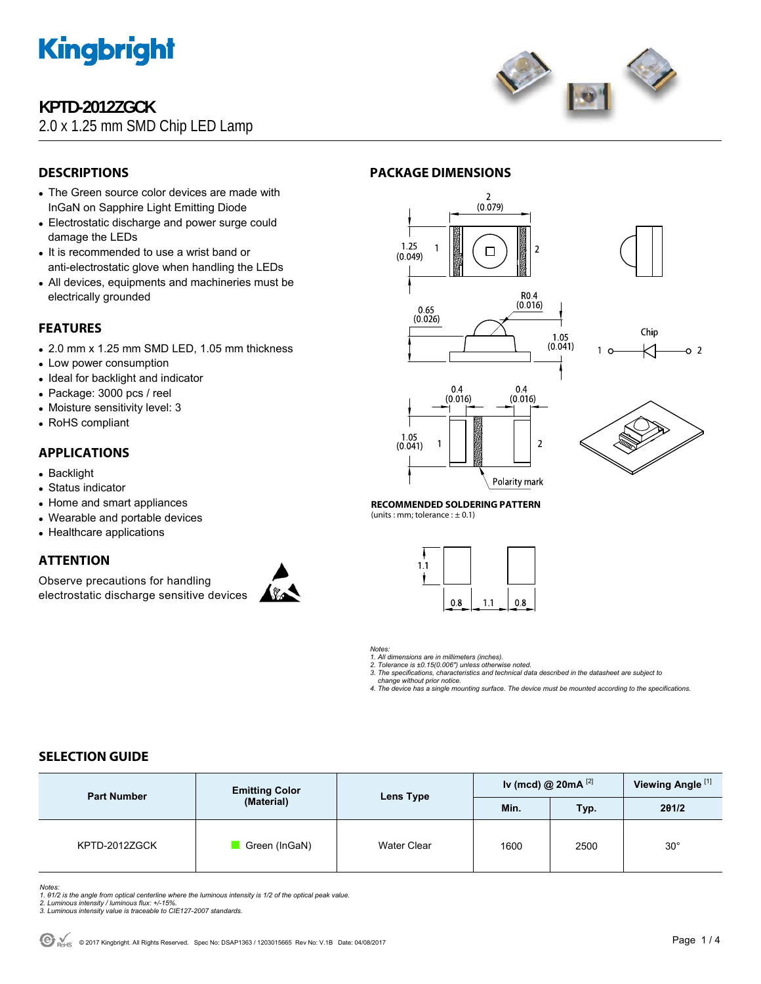

# **KPTD-2012ZGCK**

# 2.0 x 1.25 mm SMD Chip LED Lamp



## **DESCRIPTIONS**

- The Green source color devices are made with InGaN on Sapphire Light Emitting Diode
- Electrostatic discharge and power surge could damage the LEDs
- It is recommended to use a wrist band or anti-electrostatic glove when handling the LEDs
- All devices, equipments and machineries must be electrically grounded

#### **FEATURES**

- 2.0 mm x 1.25 mm SMD LED, 1.05 mm thickness
- Low power consumption
- Ideal for backlight and indicator
- Package: 3000 pcs / reel
- Moisture sensitivity level: 3
- RoHS compliant

#### **APPLICATIONS**

- Backlight
- Status indicator
- Home and smart appliances
- Wearable and portable devices
- Healthcare applications

### **ATTENTION**

Observe precautions for handling electrostatic discharge sensitive devices







**RECOMMENDED SOLDERING PATTERN** 

(units : mm; tolerance :  $\pm$  0.1)



*Notes:* 

*1. All dimensions are in millimeters (inches). 2. Tolerance is ±0.15(0.006") unless otherwise noted.* 

- 
- *3. The specifications, characteristics and technical data described in the datasheet are subject to change without prior notice.*
- *4. The device has a single mounting surface. The device must be mounted according to the specifications.*

### **SELECTION GUIDE**

| <b>Part Number</b> | <b>Emitting Color</b><br>(Material) | Lens Type   | Iv (mcd) @ $20mA$ <sup>[2]</sup> |            | Viewing Angle <sup>[1]</sup> |
|--------------------|-------------------------------------|-------------|----------------------------------|------------|------------------------------|
|                    |                                     |             | Min.                             | <b>Typ</b> | 201/2                        |
| KPTD-2012ZGCK      | Green (InGaN)                       | Water Clear | 1600                             | 2500       | $30^{\circ}$                 |

*Notes:* 

- *1. θ1/2 is the angle from optical centerline where the luminous intensity is 1/2 of the optical peak value. 2. Luminous intensity / luminous flux: +/-15%.*
- *3. Luminous intensity value is traceable to CIE127-2007 standards.*
-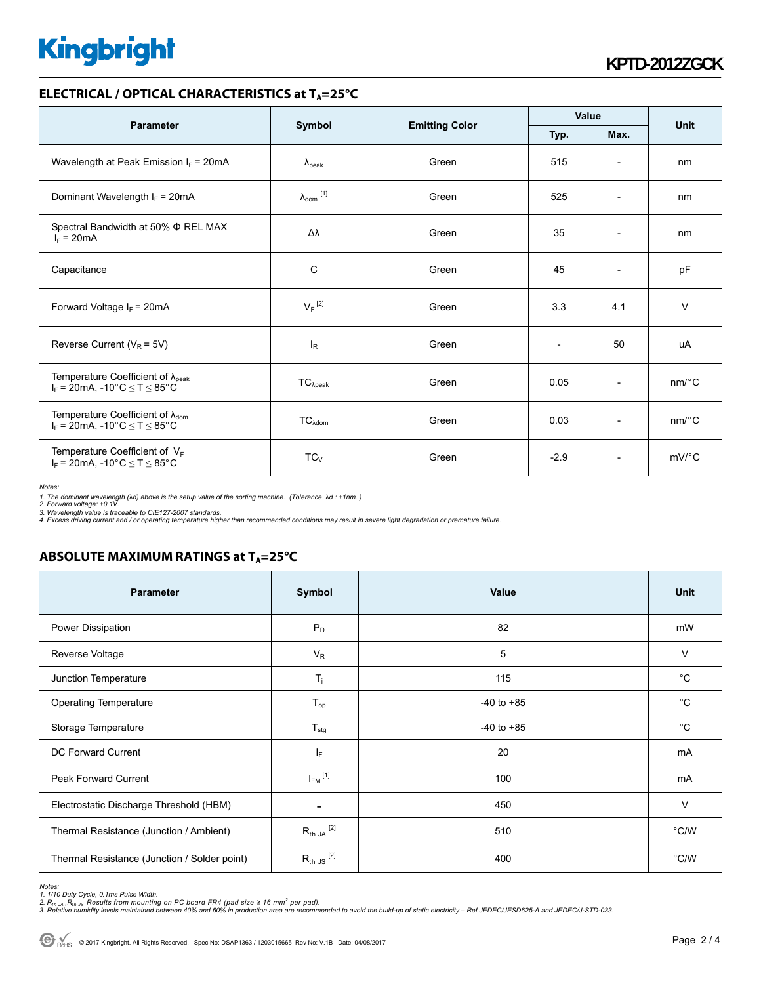# **Kingbright**

#### **ELECTRICAL / OPTICAL CHARACTERISTICS at T<sub>A</sub>=25°C**

| <b>Parameter</b>                                                                                                          | Symbol                     |                       | Value                    |                          | <b>Unit</b>           |
|---------------------------------------------------------------------------------------------------------------------------|----------------------------|-----------------------|--------------------------|--------------------------|-----------------------|
|                                                                                                                           |                            | <b>Emitting Color</b> | Typ.                     | Max.                     |                       |
| Wavelength at Peak Emission $I_F$ = 20mA                                                                                  | $\lambda_{\rm peak}$       | Green                 | 515                      | $\overline{\phantom{a}}$ | nm                    |
| Dominant Wavelength $I_F = 20 \text{mA}$                                                                                  | $\lambda_{\text{dom}}$ [1] | Green                 | 525                      | $\overline{\phantom{a}}$ | nm                    |
| Spectral Bandwidth at 50% $\Phi$ REL MAX<br>$I_F = 20mA$                                                                  | Δλ                         | Green                 | 35                       | $\overline{\phantom{a}}$ | nm                    |
| Capacitance                                                                                                               | C                          | Green                 | 45                       | $\overline{\phantom{a}}$ | pF                    |
| Forward Voltage $I_F = 20mA$                                                                                              | $V_F$ <sup>[2]</sup>       | Green                 | 3.3                      | 4.1                      | $\vee$                |
| Reverse Current ( $V_R$ = 5V)                                                                                             | $I_R$                      | Green                 | $\overline{\phantom{a}}$ | 50                       | uA                    |
| Temperature Coefficient of $\lambda_{peak}$<br>$I_F = 20 \text{mA}, -10^{\circ} \text{C} \leq T \leq 85^{\circ} \text{C}$ | $TC_{\lambda peak}$        | Green                 | 0.05                     | $\overline{\phantom{a}}$ | $nm$ <sup>o</sup> $C$ |
| Temperature Coefficient of $\lambda_{\text{dom}}$<br>$I_F = 20mA$ , -10°C $\le T \le 85$ °C                               | TC <sub>Adam</sub>         | Green                 | 0.03                     | $\blacksquare$           | $nm$ /°C              |
| Temperature Coefficient of VF<br>$I_F = 20 \text{mA}, -10^{\circ} \text{C} \leq T \leq 85^{\circ} \text{C}$               | $TC_V$                     | Green                 | $-2.9$                   | $\overline{\phantom{a}}$ | $mV$ <sup>o</sup> $C$ |

*Notes:* 

1. The dominant wavelength (λd) above is the setup value of the sorting machine. (Tolerance λd : ±1nm. )<br>2. Forward voltage: ±0.1V.<br>3. Wavelength value is traceable to CIE127-2007 standards.<br>4. Excess driving current and

### **ABSOLUTE MAXIMUM RATINGS at T<sub>A</sub>=25°C**

| <b>Parameter</b>                             | Symbol                   | Value          | Unit          |
|----------------------------------------------|--------------------------|----------------|---------------|
| Power Dissipation                            | $P_D$                    | 82             | mW            |
| Reverse Voltage                              | $V_R$                    | 5              | $\vee$        |
| Junction Temperature                         | $T_{j}$                  | 115            | $^{\circ}C$   |
| <b>Operating Temperature</b>                 | $T_{op}$                 | $-40$ to $+85$ | $^{\circ}C$   |
| Storage Temperature                          | $T_{\text{stg}}$         | $-40$ to $+85$ | $^{\circ}C$   |
| DC Forward Current                           | IF.                      | 20             | mA            |
| Peak Forward Current                         | $I_{FM}$ <sup>[1]</sup>  | 100            | mA            |
| Electrostatic Discharge Threshold (HBM)      | $\overline{\phantom{a}}$ | 450            | $\vee$        |
| Thermal Resistance (Junction / Ambient)      | $R_{th}$ JA $^{[2]}$     | 510            | $\degree$ C/W |
| Thermal Resistance (Junction / Solder point) | $R_{th}$ JS $^{[2]}$     | 400            | $\degree$ C/W |

*Notes:* 

<sup>1. 1/10</sup> Duty Cycle, 0.1ms Pulse Width.<br>2. R<sub>th Ju</sub> ,R<sub>h JS</sub> Results from mounting on PC board FR4 (pad size ≥ 16 mm<sup>2</sup> per pad).<br>3. Relative humidity levels maintained between 40% and 60% in production area are recommende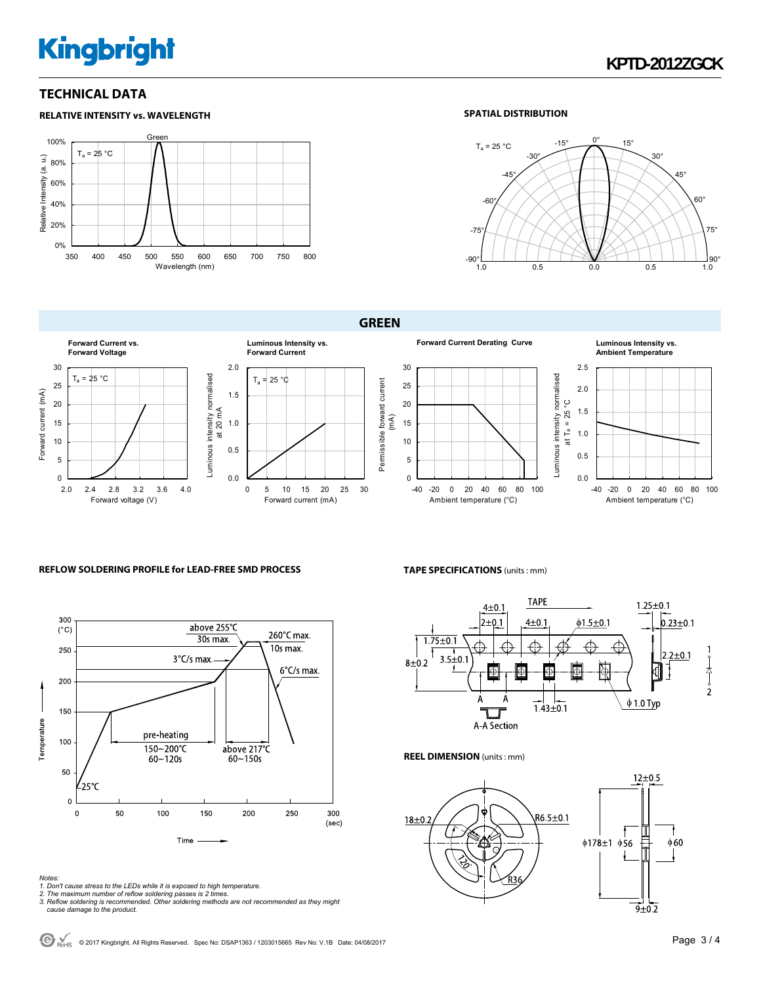# **Kingbright**

#### **TECHNICAL DATA**

#### **RELATIVE INTENSITY vs. WAVELENGTH**



#### **SPATIAL DISTRIBUTION**



#### **GREEN**



#### **REFLOW SOLDERING PROFILE for LEAD-FREE SMD PROCESS**



- 
- 
- Notes:<br>1. Don't cause stress to the LEDs while it is exposed to high temperature.<br>2. The maximum number of reflow soldering passes is 2 times.<br>3. Reflow soldering is recommended. Other soldering methods are not recommended

#### **TAPE SPECIFICATIONS** (units : mm)



**REEL DIMENSION** (units : mm)